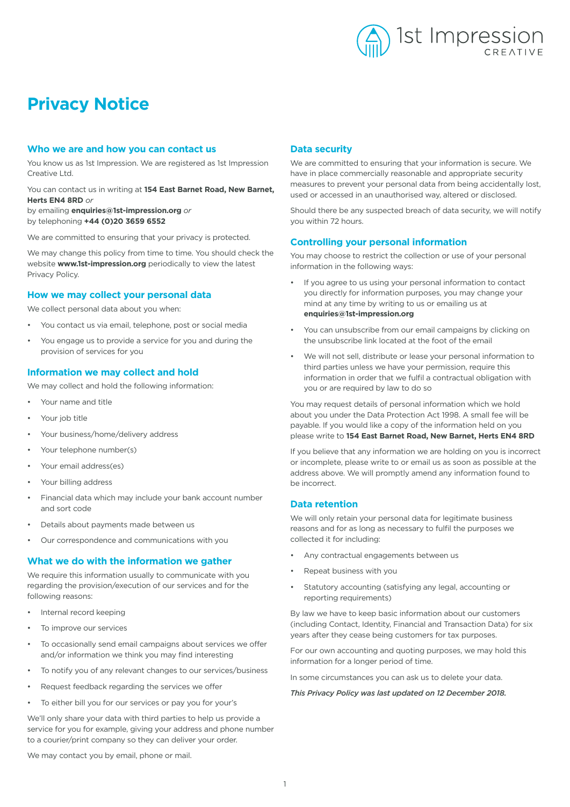

# **Privacy Notice**

#### **Who we are and how you can contact us**

You know us as 1st Impression. We are registered as 1st Impression Creative Ltd.

You can contact us in writing at **154 East Barnet Road, New Barnet, Herts EN4 8RD** *or*

by emailing **enquiries@1st-impression.org** *or* by telephoning **+44 (0)20 3659 6552**

We are committed to ensuring that your privacy is protected.

We may change this policy from time to time. You should check the website **www.1st-impression.org** periodically to view the latest Privacy Policy.

## **How we may collect your personal data**

We collect personal data about you when:

- You contact us via email, telephone, post or social media
- You engage us to provide a service for you and during the provision of services for you

## **Information we may collect and hold**

We may collect and hold the following information:

- Your name and title
- Your job title
- Your business/home/delivery address
- Your telephone number(s)
- Your email address(es)
- Your billing address
- Financial data which may include your bank account number and sort code
- Details about payments made between us
- Our correspondence and communications with you

#### **What we do with the information we gather**

We require this information usually to communicate with you regarding the provision/execution of our services and for the following reasons:

- Internal record keeping
- To improve our services
- To occasionally send email campaigns about services we offer and/or information we think you may find interesting
- To notify you of any relevant changes to our services/business
- Request feedback regarding the services we offer
- To either bill you for our services or pay you for your's

We'll only share your data with third parties to help us provide a service for you for example, giving your address and phone number to a courier/print company so they can deliver your order.

### **Data security**

We are committed to ensuring that your information is secure. We have in place commercially reasonable and appropriate security measures to prevent your personal data from being accidentally lost, used or accessed in an unauthorised way, altered or disclosed.

Should there be any suspected breach of data security, we will notify you within 72 hours.

## **Controlling your personal information**

You may choose to restrict the collection or use of your personal information in the following ways:

- If you agree to us using your personal information to contact you directly for information purposes, you may change your mind at any time by writing to us or emailing us at **enquiries@1st-impression.org**
- You can unsubscribe from our email campaigns by clicking on the unsubscribe link located at the foot of the email
- We will not sell, distribute or lease your personal information to third parties unless we have your permission, require this information in order that we fulfil a contractual obligation with you or are required by law to do so

You may request details of personal information which we hold about you under the Data Protection Act 1998. A small fee will be payable. If you would like a copy of the information held on you please write to **154 East Barnet Road, New Barnet, Herts EN4 8RD**

If you believe that any information we are holding on you is incorrect or incomplete, please write to or email us as soon as possible at the address above. We will promptly amend any information found to be incorrect.

### **Data retention**

We will only retain your personal data for legitimate business reasons and for as long as necessary to fulfil the purposes we collected it for including:

- Any contractual engagements between us
- Repeat business with you
- Statutory accounting (satisfying any legal, accounting or reporting requirements)

By law we have to keep basic information about our customers (including Contact, Identity, Financial and Transaction Data) for six years after they cease being customers for tax purposes.

For our own accounting and quoting purposes, we may hold this information for a longer period of time.

In some circumstances you can ask us to delete your data.

#### *This Privacy Policy was last updated on 12 December 2018.*

We may contact you by email, phone or mail.